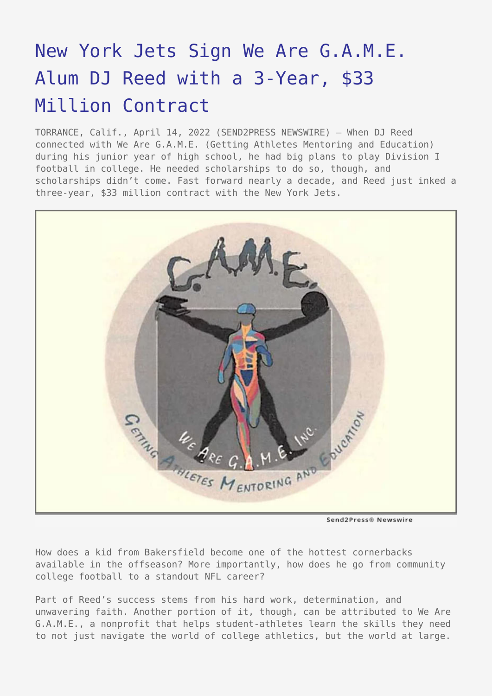## [New York Jets Sign We Are G.A.M.E.](https://www.send2press.com/wire/new-york-jets-sign-we-are-g-a-m-e-alum-dj-reed-with-a-3-year-33-million-contract/) [Alum DJ Reed with a 3-Year, \\$33](https://www.send2press.com/wire/new-york-jets-sign-we-are-g-a-m-e-alum-dj-reed-with-a-3-year-33-million-contract/) [Million Contract](https://www.send2press.com/wire/new-york-jets-sign-we-are-g-a-m-e-alum-dj-reed-with-a-3-year-33-million-contract/)

TORRANCE, Calif., April 14, 2022 (SEND2PRESS NEWSWIRE) — When DJ Reed connected with We Are G.A.M.E. (Getting Athletes Mentoring and Education) during his junior year of high school, he had big plans to play Division I football in college. He needed scholarships to do so, though, and scholarships didn't come. Fast forward nearly a decade, and Reed just inked a three-year, \$33 million contract with the New York Jets.



Send2Press® Newswire

How does a kid from Bakersfield become one of the hottest cornerbacks available in the offseason? More importantly, how does he go from community college football to a standout NFL career?

Part of Reed's success stems from his hard work, determination, and unwavering faith. Another portion of it, though, can be attributed to We Are G.A.M.E., a nonprofit that helps student-athletes learn the skills they need to not just navigate the world of college athletics, but the world at large.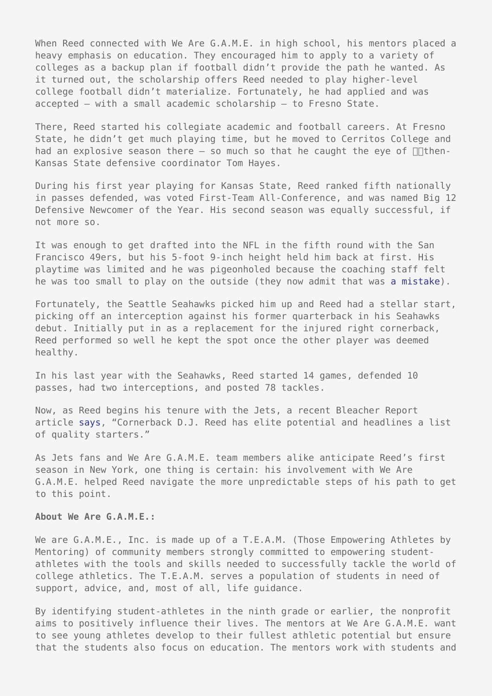When Reed connected with We Are G.A.M.E. in high school, his mentors placed a heavy emphasis on education. They encouraged him to apply to a variety of colleges as a backup plan if football didn't provide the path he wanted. As it turned out, the scholarship offers Reed needed to play higher-level college football didn't materialize. Fortunately, he had applied and was accepted — with a small academic scholarship — to Fresno State.

There, Reed started his collegiate academic and football careers. At Fresno State, he didn't get much playing time, but he moved to Cerritos College and had an explosive season there  $-$  so much so that he caught the eye of  $\Box$ Then-Kansas State defensive coordinator Tom Hayes.

During his first year playing for Kansas State, Reed ranked fifth nationally in passes defended, was voted First-Team All-Conference, and was named Big 12 Defensive Newcomer of the Year. His second season was equally successful, if not more so.

It was enough to get drafted into the NFL in the fifth round with the San Francisco 49ers, but his 5-foot 9-inch height held him back at first. His playtime was limited and he was pigeonholed because the coaching staff felt he was too small to play on the outside (they now admit that was [a mistake\)](https://jetswire.usatoday.com/2022/04/04/new-york-jets-robert-saleh-dj-reed-49ers-mistake/).

Fortunately, the Seattle Seahawks picked him up and Reed had a stellar start, picking off an interception against his former quarterback in his Seahawks debut. Initially put in as a replacement for the injured right cornerback, Reed performed so well he kept the spot once the other player was deemed healthy.

In his last year with the Seahawks, Reed started 14 games, defended 10 passes, had two interceptions, and posted 78 tackles.

Now, as Reed begins his tenure with the Jets, a recent Bleacher Report article [says,](https://bleacherreport.com/articles/2955236-grading-every-nfl-teams-offseason-before-the-2022-draft) "Cornerback D.J. Reed has elite potential and headlines a list of quality starters."

As Jets fans and We Are G.A.M.E. team members alike anticipate Reed's first season in New York, one thing is certain: his involvement with We Are G.A.M.E. helped Reed navigate the more unpredictable steps of his path to get to this point.

## **About We Are G.A.M.E.:**

We are G.A.M.E., Inc. is made up of a T.E.A.M. (Those Empowering Athletes by Mentoring) of community members strongly committed to empowering studentathletes with the tools and skills needed to successfully tackle the world of college athletics. The T.E.A.M. serves a population of students in need of support, advice, and, most of all, life guidance.

By identifying student-athletes in the ninth grade or earlier, the nonprofit aims to positively influence their lives. The mentors at We Are G.A.M.E. want to see young athletes develop to their fullest athletic potential but ensure that the students also focus on education. The mentors work with students and